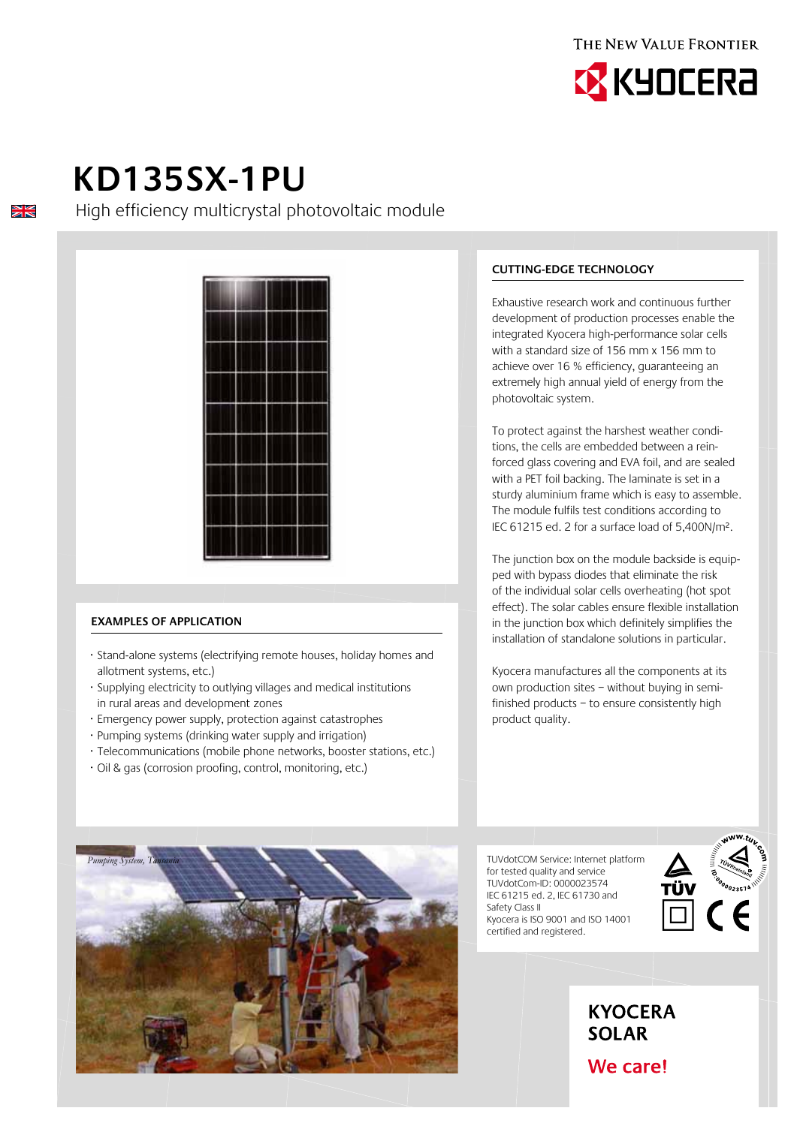



# **KD135SX-1PU**

 $\frac{\sum x}{\sum x}$ 

High efficiency multicrystal photovoltaic module



### **Examples of application**

- · Stand-alone systems (electrifying remote houses, holiday homes and allotment systems, etc.)
- · Supplying electricity to outlying villages and medical institutions in rural areas and development zones
- · Emergency power supply, protection against catastrophes
- · Pumping systems (drinking water supply and irrigation)
- · Telecommunications (mobile phone networks, booster stations, etc.)
- · Oil & gas (corrosion proofing, control, monitoring, etc.)

### **Cutting-edge technology**

Exhaustive research work and continuous further development of production processes enable the integrated Kyocera high-performance solar cells with a standard size of 156 mm x 156 mm to achieve over 16 % efficiency, guaranteeing an extremely high annual yield of energy from the photovoltaic system.

To protect against the harshest weather conditions, the cells are embedded between a reinforced glass covering and EVA foil, and are sealed with a PET foil backing. The laminate is set in a sturdy aluminium frame which is easy to assemble. The module fulfils test conditions according to IEC 61215 ed. 2 for a surface load of 5,400N/m².

The junction box on the module backside is equipped with bypass diodes that eliminate the risk of the individual solar cells overheating (hot spot effect). The solar cables ensure flexible installation in the junction box which definitely simplifies the installation of standalone solutions in particular.

Kyocera manufactures all the components at its own production sites – without buying in semifinished products – to ensure consistently high product quality.

TUVdotCOM Service: Internet platform for tested quality and service TUVdotCom-ID: 0000023574 IEC 61215 ed. 2, IEC 61730 and Safety Class II Kyocera is ISO 9001 and ISO 14001 certified and registered.





**KYOCERA SOLAR** 

## We care!